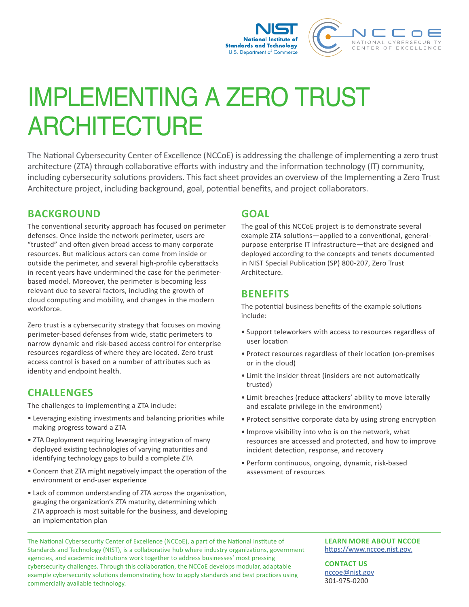

# IMPLEMENTING A ZERO TRUST **ARCHITECTURE**

The National Cybersecurity Center of Excellence (NCCoE) is addressing the challenge of implementing a zero trust architecture (ZTA) through collaborative efforts with industry and the information technology (IT) community, including cybersecurity solutions providers. This fact sheet provides an overview of the Implementing a Zero Trust Architecture project, including background, goal, potential benefits, and project collaborators.

## **BACKGROUND**

The conventional security approach has focused on perimeter defenses. Once inside the network perimeter, users are "trusted" and often given broad access to many corporate resources. But malicious actors can come from inside or outside the perimeter, and several high-profile cyberattacks in recent years have undermined the case for the perimeterbased model. Moreover, the perimeter is becoming less relevant due to several factors, including the growth of cloud computing and mobility, and changes in the modern workforce.

Zero trust is a cybersecurity strategy that focuses on moving perimeter-based defenses from wide, static perimeters to narrow dynamic and risk-based access control for enterprise resources regardless of where they are located. Zero trust access control is based on a number of attributes such as identity and endpoint health.

## **CHALLENGES**

The challenges to implementing a ZTA include:

- Leveraging existing investments and balancing priorities while making progress toward a ZTA
- ZTA Deployment requiring leveraging integration of many deployed existing technologies of varying maturities and identifying technology gaps to build a complete ZTA
- Concern that ZTA might negatively impact the operation of the environment or end-user experience
- Lack of common understanding of ZTA across the organization, gauging the organization's ZTA maturity, determining which ZTA approach is most suitable for the business, and developing an implementation plan

## **GOAL**

The goal of this NCCoE project is to demonstrate several example ZTA solutions—applied to a conventional, generalpurpose enterprise IT infrastructure—that are designed and deployed according to the concepts and tenets documented in NIST Special Publication (SP) 800-207, Zero Trust Architecture.

## **BENEFITS**

The potential business benefits of the example solutions include:

- Support teleworkers with access to resources regardless of user location
- Protect resources regardless of their location (on-premises or in the cloud)
- Limit the insider threat (insiders are not automatically trusted)
- Limit breaches (reduce attackers' ability to move laterally and escalate privilege in the environment)
- Protect sensitive corporate data by using strong encryption
- Improve visibility into who is on the network, what resources are accessed and protected, and how to improve incident detection, response, and recovery
- Perform continuous, ongoing, dynamic, risk-based assessment of resources

The National Cybersecurity Center of Excellence (NCCoE), a part of the National Institute of Standards and Technology (NIST), is a collaborative hub where industry organizations, government agencies, and academic institutions work together to address businesses' most pressing cybersecurity challenges. Through this collaboration, the NCCoE develops modular, adaptable example cybersecurity solutions demonstrating how to apply standards and best practices using commercially available technology.

#### **LEARN MORE ABOUT NCCOE** [https://www.nccoe.nist.gov.](https://www.nccoe.nist.gov)

**CONTACT US** nccoe@nist.gov 301-975-0200